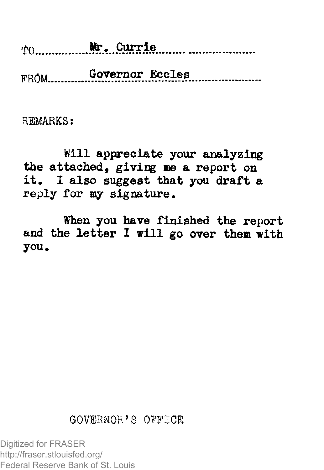rjO Mr. .Currle

FROM Governor Eccles

REMARKS:

Will appreciate your analyzing the attached, giving me a report on it, I also suggest that you draft a reply for my signature.

When you have finished the report and the letter I will go over them with you.

## GOVERNOR'S OFFICE

Digitized for FRASER http://fraser.stlouisfed.org/ Federal Reserve Bank of St. Louis